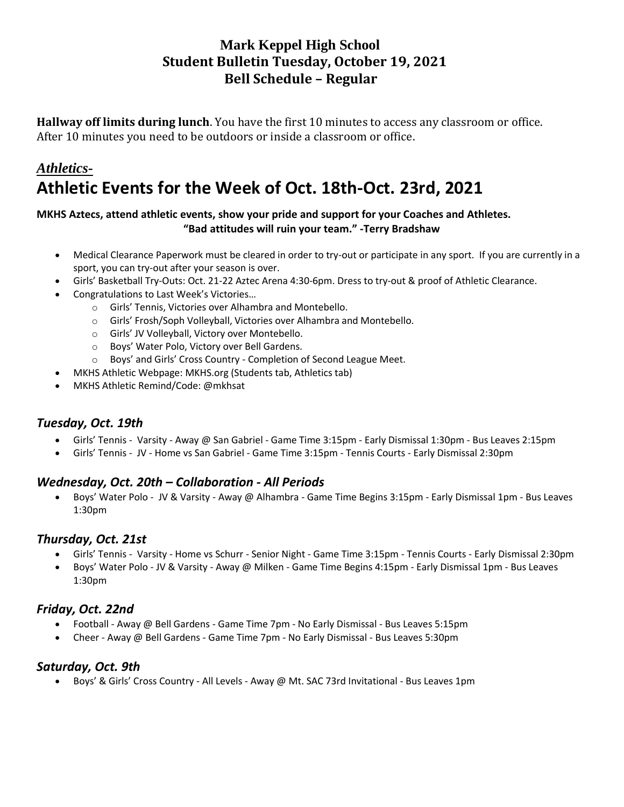## **Mark Keppel High School Student Bulletin Tuesday, October 19, 2021 Bell Schedule – Regular**

**Hallway off limits during lunch**. You have the first 10 minutes to access any classroom or office. After 10 minutes you need to be outdoors or inside a classroom or office.

# *Athletics-***Athletic Events for the Week of Oct. 18th-Oct. 23rd, 2021**

#### **MKHS Aztecs, attend athletic events, show your pride and support for your Coaches and Athletes. "Bad attitudes will ruin your team." -Terry Bradshaw**

- Medical Clearance Paperwork must be cleared in order to try-out or participate in any sport. If you are currently in a sport, you can try-out after your season is over.
- Girls' Basketball Try-Outs: Oct. 21-22 Aztec Arena 4:30-6pm. Dress to try-out & proof of Athletic Clearance.
- Congratulations to Last Week's Victories…
	- o Girls' Tennis, Victories over Alhambra and Montebello.
	- o Girls' Frosh/Soph Volleyball, Victories over Alhambra and Montebello.
	- o Girls' JV Volleyball, Victory over Montebello.
	- o Boys' Water Polo, Victory over Bell Gardens.
	- o Boys' and Girls' Cross Country Completion of Second League Meet.
- MKHS Athletic Webpage: MKHS.org (Students tab, Athletics tab)
- MKHS Athletic Remind/Code: @mkhsat

### *Tuesday, Oct. 19th*

- Girls' Tennis Varsity Away @ San Gabriel Game Time 3:15pm Early Dismissal 1:30pm Bus Leaves 2:15pm
- Girls' Tennis JV Home vs San Gabriel Game Time 3:15pm Tennis Courts Early Dismissal 2:30pm

### *Wednesday, Oct. 20th – Collaboration - All Periods*

• Boys' Water Polo - JV & Varsity - Away @ Alhambra - Game Time Begins 3:15pm - Early Dismissal 1pm - Bus Leaves 1:30pm

### *Thursday, Oct. 21st*

- Girls' Tennis Varsity Home vs Schurr Senior Night Game Time 3:15pm Tennis Courts Early Dismissal 2:30pm
- Boys' Water Polo JV & Varsity Away @ Milken Game Time Begins 4:15pm Early Dismissal 1pm Bus Leaves 1:30pm

### *Friday, Oct. 22nd*

- Football Away @ Bell Gardens Game Time 7pm No Early Dismissal Bus Leaves 5:15pm
- Cheer Away @ Bell Gardens Game Time 7pm No Early Dismissal Bus Leaves 5:30pm

### *Saturday, Oct. 9th*

• Boys' & Girls' Cross Country - All Levels - Away @ Mt. SAC 73rd Invitational - Bus Leaves 1pm